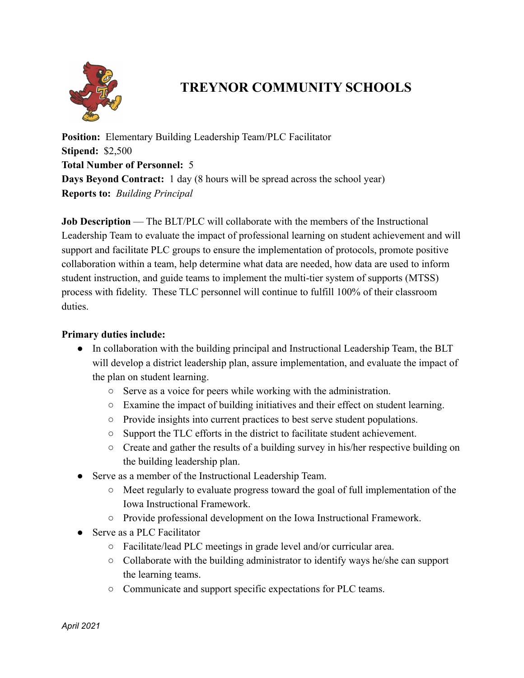

## **TREYNOR COMMUNITY SCHOOLS**

**Position:** Elementary Building Leadership Team/PLC Facilitator **Stipend:** \$2,500 **Total Number of Personnel:** 5 **Days Beyond Contract:** 1 day (8 hours will be spread across the school year) **Reports to:** *Building Principal*

**Job Description** — The BLT/PLC will collaborate with the members of the Instructional Leadership Team to evaluate the impact of professional learning on student achievement and will support and facilitate PLC groups to ensure the implementation of protocols, promote positive collaboration within a team, help determine what data are needed, how data are used to inform student instruction, and guide teams to implement the multi-tier system of supports (MTSS) process with fidelity. These TLC personnel will continue to fulfill 100% of their classroom duties.

## **Primary duties include:**

- In collaboration with the building principal and Instructional Leadership Team, the BLT will develop a district leadership plan, assure implementation, and evaluate the impact of the plan on student learning.
	- Serve as a voice for peers while working with the administration.
	- Examine the impact of building initiatives and their effect on student learning.
	- Provide insights into current practices to best serve student populations.
	- Support the TLC efforts in the district to facilitate student achievement.
	- Create and gather the results of a building survey in his/her respective building on the building leadership plan.
- Serve as a member of the Instructional Leadership Team.
	- Meet regularly to evaluate progress toward the goal of full implementation of the Iowa Instructional Framework.
	- Provide professional development on the Iowa Instructional Framework.
- Serve as a PLC Facilitator
	- Facilitate/lead PLC meetings in grade level and/or curricular area.
	- Collaborate with the building administrator to identify ways he/she can support the learning teams.
	- Communicate and support specific expectations for PLC teams.